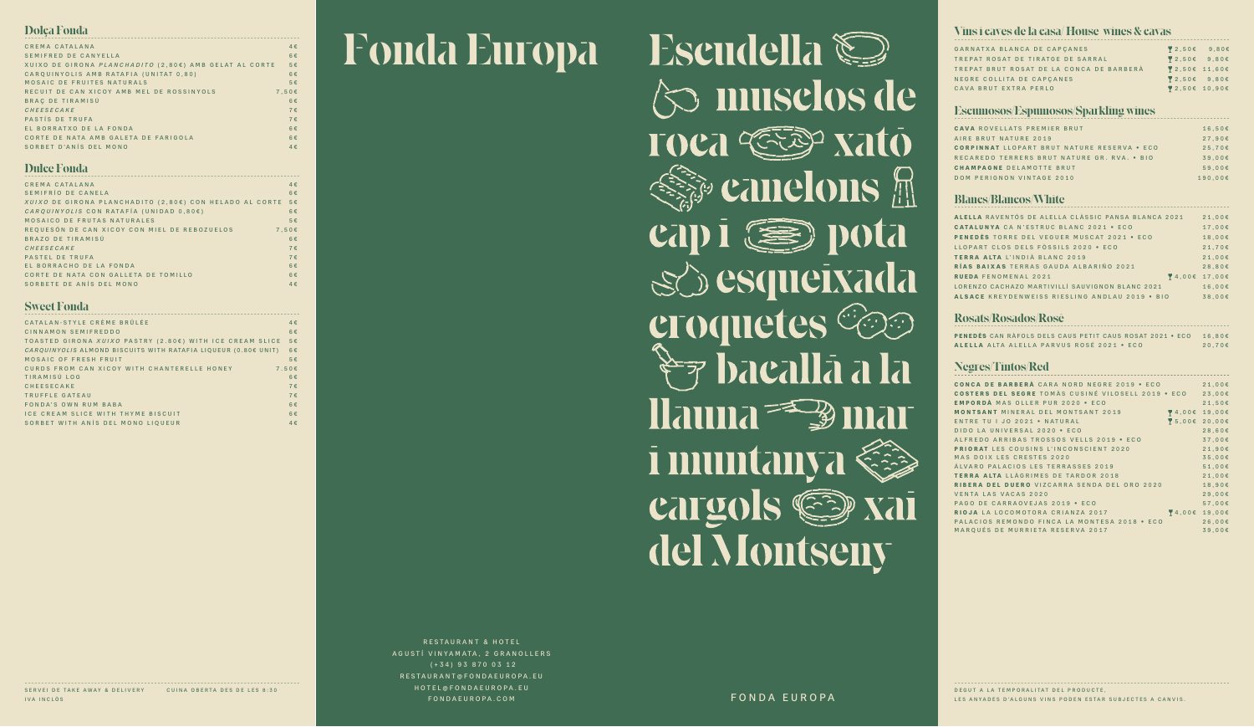| GARNATXA BLANCA DE CAPCANES              | $\begin{bmatrix} 2.50 \end{bmatrix}$ 9.80 $\epsilon$ |  |
|------------------------------------------|------------------------------------------------------|--|
| TREPAT ROSAT DE TIRATGE DE SARRAL        | $\overline{9}$ 2.50 $\epsilon$ 9.80 $\epsilon$       |  |
| TREPAT BRUT ROSAT DE LA CONCA DE BARBERÀ | 2,50€ 11,60€                                         |  |
| NEGRE COLLITA DE CAPCANES                | $\overline{9}$ 2.50 $\epsilon$ 9.80 $\epsilon$       |  |
| CAVA BRUT EXTRA PERLO                    | ₹ 2,50€ 10,90€                                       |  |

## Escumosos/Espumosos/Sparkling wines

RESTAURANT & HOTEL AGUSTÍ VINYAMATA, 2 GRANOLLERS (+34) 93 870 03 12 RESTAURANT@FONDAEUROPA.EU HOTEL@FONDAEUROPA.EU FONDAEUROPA.COM RESTAURANT @ FONDAEUROPA.

| ALELLA RAVENTÓS DE ALELLA CLÀSSIC PANSA BLANCA 2021 | 21,00E    |
|-----------------------------------------------------|-----------|
| <b>CATALUNYA CA N'ESTRUC BLANC 2021 • ECO</b>       | 17,00€    |
| PENEDES TORRE DEL VEGUER MUSCAT 2021 . ECO          | 18,00€    |
| LLOPART CLOS DELS FÒSSILS 2020 · ECO                | $21,70$ € |
| TERRA ALTA L'INDIÀ BLANC 2019                       | 21,00E    |
| RÍAS BAIXAS TERRAS GAUDA ALBARIÑO 2021              | 28,80E    |
| $4.006$ 17,006<br><b>RUEDA FENOMENAL 2021</b>       |           |
| LORENZO CACHAZO MARTIVILLÍ SAUVIGNON BLANC 2021     | 16.00E    |
| ALSACE KREYDENWEISS RIESLING ANDLAU 2019 . BIO      | 38.00E    |

# $\bf Rosats/Ross$ <sup> $\bf Rosa$ </sup>

DEGUT A LA TEMPORALITAT DEL PRODUCTE, LES ANYADES D'ALGUNS VINS PODEN ESTAR SUBJECTES A CANVIS.

# Fonda Europa

Escudella  $\Diamond$  musclos de TOCA CEEP Xato **Exame cannons Cap i** ( ) pota SC esqueixada croquetes Ces  $\rightarrow$   $\rightarrow$   $\rightarrow$   $\rightarrow$   $\rightarrow$   $\rightarrow$   $\rightarrow$ Hauna<sup>==</sup> Duar i muntanya Cargols Cap Xai del Montseny

| <b>CONCA DE BARBERÀ</b> CARA NORD NEGRE 2019 • ECO        |                                       | $21,00$ € |
|-----------------------------------------------------------|---------------------------------------|-----------|
| <b>COSTERS DEL SEGRE TOMÀS CUSINÉ VILOSELL 2019 • ECO</b> |                                       | 23,00E    |
| <b>EMPORDÀ MAS OLLER PUR 2020 · ECO</b>                   |                                       | $21,50$ € |
| <b>MONTSANT MINERAL DEL MONTSANT 2019</b>                 | 4,00€ 19,00€                          |           |
| ENTRE TU I JO 2021 . NATURAL                              | 15,00€ 20,00€                         |           |
| DIDO LA UNIVERSAL 2020 · ECO                              |                                       | 28,60E    |
| ALFREDO ARRIBAS TROSSOS VELLS 2019 • ECO                  |                                       | 37,00€    |
| <b>PRIORAT LES COUSINS L'INCONSCIENT 2020</b>             |                                       | 21,90E    |
| MAS DOIX LES CRESTES 2020                                 |                                       | 35,00E    |
| ÁLVARO PALACIOS LES TERRASSES 2019                        |                                       | 51,00E    |
| <b>TERRA ALTA LLAGRIMES DE TARDOR 2018</b>                |                                       | 21,00E    |
| <b>RIBERA DEL DUERO</b> VIZCARRA SENDA DEL ORO 2020       |                                       | 18,90€    |
| <b>VENTA LAS VACAS 2020</b>                               |                                       | 29,00E    |
| PAGO DE CARRAOVEJAS 2019 . ECO                            |                                       | $57,00$ € |
| RIOJA LA LOCOMOTORA CRIANZA 2017                          | $\blacktriangleright$ 4,00 $\epsilon$ | 19,00€    |
| PALACIOS REMONDO FINCA LA MONTESA 2018 • ECO              |                                       | 26,00€    |
| MAROUÉS DE MURRIETA RESERVA 2017                          |                                       | 39,00€    |
|                                                           |                                       |           |

SERVEI DE TAKE AWAY & DELIVERY CUINA OBERTA DES DE LES 8:30 IVA INCLÒS

| $16,50$ € |
|-----------|
| 27.90E    |
| 25.70E    |
| 39.00E    |
| 59.00E    |
| 190.00€   |
|           |

# Blancs/Blancos/White ´´´´´´´´´´´´´´´´´´´´´´´´´´´´´´´´´´´´´´´´´´´´´´´´´´´´´´´´´´´´´´´´´´´´´´´´´´´´´´´´´´´

| Dolca Fonda                                                   |         |
|---------------------------------------------------------------|---------|
| CREMA CATALANA                                                | $4 \in$ |
| SEMIFRED DE CANYELLA                                          | $6 \in$ |
| XUIXO DE GIRONA <i>PLANCHADITO</i> (2,80€) AMB GELAT AL CORTE | $5 \in$ |
| CARQUINYOLIS AMB RATAFIA (UNITAT 0.80)                        | $6 \in$ |
| MOSAIC DE FRUITES NATURALS                                    | $5 \in$ |
| RECUIT DE CAN XICOY AMB MEL DE ROSSINYOLS                     | 7.50E   |
| BRAC DE TIRAMISÚ                                              | $6 \in$ |
| CHEESECAKE                                                    | $7 \in$ |
| PASTÍS DE TRUFA                                               | $7 \in$ |
| EL BORRATXO DE LA FONDA                                       | $6 \in$ |
| CORTE DE NATA AMB GALETA DE FARIGOLA                          | $6 \in$ |
| SORBET D'ANÍS DEL MONO                                        | $4 \in$ |

# ´´´´´´´´´´´´´´´´´´´´´´´´´´´´´´´´´´´´´´´´´´´´´´´´´´´´´´´´´´´´´´´´´´´´´´´´´´´´´´´´´´´ Vins i caves de la casa/ House wines & cavas

# Negres/Tintos/Red ´´´´´´´´´´´´´´´´´´´´´´´´´´´´´´´´´´´´´´´´´´´´´´´´´´´´´´´´´´´´´´´´´´´´´´´´´´´´´´´´´´´

| PENEDES CAN RAFOLS DELS CAUS PETIT CAUS ROSAT 2021 • ECO 16,80€ |        |
|-----------------------------------------------------------------|--------|
| ALELLA ALTA ALELLA PARVUS ROSÉ 2021 · ECO                       | 20.70E |

| CATALAN-STYLE CRÈME BRÛLÉE                                       | $4 \in$ |
|------------------------------------------------------------------|---------|
| CINNAMON SEMIFREDDO                                              | $6 \in$ |
| TOASTED GIRONA XUIXO PASTRY (2.80€) WITH ICE CREAM SLICE         | $5 \in$ |
| $CARQUINYOLIS$ ALMOND BISCUITS WITH RATAFIA LIQUEUR (0.80€ UNIT) | $6 \in$ |
| MOSAIC OF FRESH FRUIT                                            | $5 \in$ |
| CURDS FROM CAN XICOY WITH CHANTERELLE HONEY                      | 7.50E   |
| TIRAMISÚ LOG                                                     | $6 \in$ |
| <b>CHEESECAKE</b>                                                | $7 \in$ |
| TRUFFLE GATEAU                                                   | $7 \in$ |
| FONDA'S OWN RUM BABA                                             | 6€      |
| ICE CREAM SLICE WITH THYME BISCUIT                               | $6 \in$ |
| SORBET WITH ANIS DEL MONO LIQUEUR                                | $4 \in$ |

| $4 \in$                                                           |
|-------------------------------------------------------------------|
| $6 \in$                                                           |
| <i>XUIXO</i> DE GIRONA PLANCHADITO (2,80€) CON HELADO AL CORTE 5€ |
| $6 \in$                                                           |
| $5 \in$                                                           |
| 7.50E                                                             |
| $6 \in$                                                           |
| $7 \in$                                                           |
| $7 \in$                                                           |
| $6 \in$                                                           |
| $6 \in$                                                           |
| $4 \in$                                                           |
|                                                                   |

# ´´´´´´´´´´´´´´´´´´´´´´´´´´´´´´´´´´´´´´´´´´´´´´´´´´´´´´´´´´´´´´´´´´´´´´´´´´´´´´´´´´´ Sweet Fonda

# ´´´´´´´´´´´´´´´´´´´´´´´´´´´´´´´´´´´´´´´´´´´´´´´´´´´´´´´´´´´´´´´´´´´´´´´´´´´´´´´´´´´ Dulce Fonda